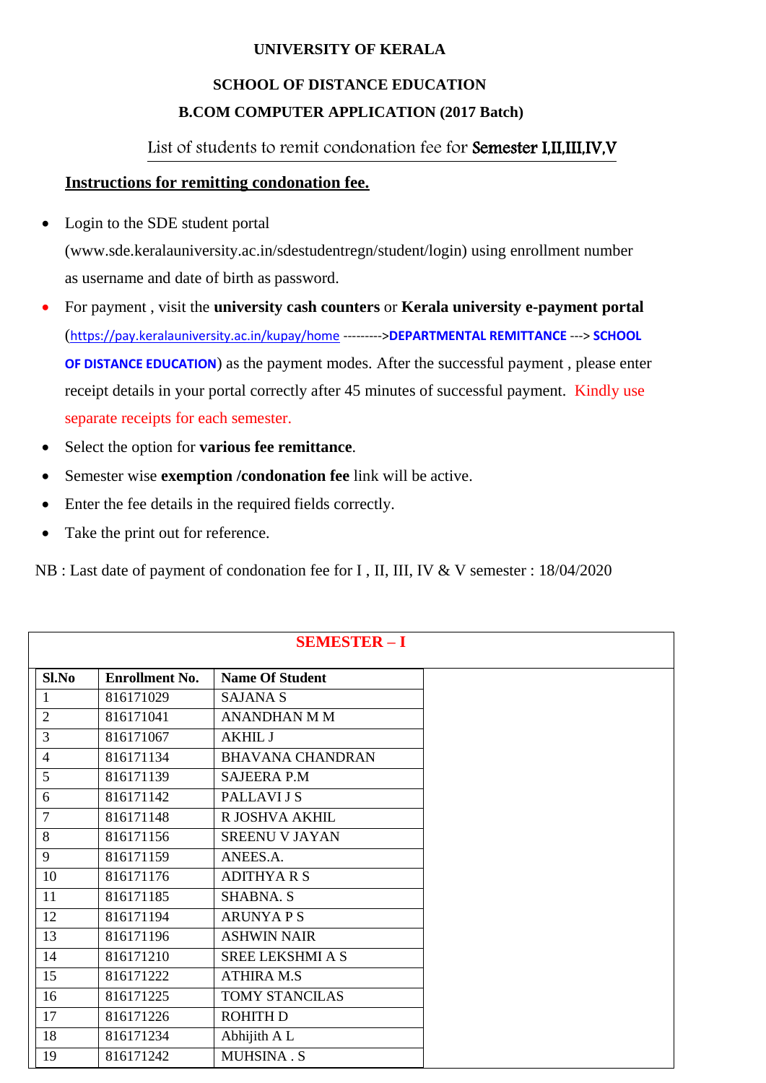### **UNIVERSITY OF KERALA**

# **SCHOOL OF DISTANCE EDUCATION B.COM COMPUTER APPLICATION (2017 Batch)**

## List of students to remit condonation fee for Semester I,II,III,IV,V

#### **Instructions for remitting condonation fee.**

• Login to the SDE student portal

[\(www.sde.keralauniversity.ac.in/sdestudentregn/student/login\) u](http://www.sde.keralauniversity.ac.in/sdestudentregn/student/login))sing enrollment number as username and date of birth as password.

- For payment , visit the **university cash counters** or **Kerala university e-payment portal** (<https://pay.keralauniversity.ac.in/kupay/home> --------->**DEPARTMENTAL REMITTANCE** ---> **SCHOOL OF DISTANCE EDUCATION**) as the payment modes. After the successful payment , please enter receipt details in your portal correctly after 45 minutes of successful payment. Kindly use separate receipts for each semester.
- Select the option for **various fee remittance**.
- Semester wise **exemption /condonation fee** link will be active.
- Enter the fee details in the required fields correctly.
- Take the print out for reference.

NB : Last date of payment of condonation fee for I , II, III, IV & V semester : 18/04/2020

|                |                       | <b>SEMESTER - I</b>     |
|----------------|-----------------------|-------------------------|
| Sl.No          | <b>Enrollment No.</b> | <b>Name Of Student</b>  |
| $\mathbf{1}$   | 816171029             | <b>SAJANA S</b>         |
| $\overline{2}$ | 816171041             | <b>ANANDHAN M M</b>     |
| 3              | 816171067             | <b>AKHIL J</b>          |
| $\overline{4}$ | 816171134             | <b>BHAVANA CHANDRAN</b> |
| 5              | 816171139             | <b>SAJEERA P.M</b>      |
| 6              | 816171142             | PALLAVI J S             |
| $\overline{7}$ | 816171148             | R JOSHVA AKHIL          |
| 8              | 816171156             | <b>SREENU V JAYAN</b>   |
| 9              | 816171159             | ANEES.A.                |
| 10             | 816171176             | <b>ADITHYARS</b>        |
| 11             | 816171185             | <b>SHABNA. S</b>        |
| 12             | 816171194             | <b>ARUNYA P S</b>       |
| 13             | 816171196             | <b>ASHWIN NAIR</b>      |
| 14             | 816171210             | <b>SREE LEKSHMI A S</b> |
| 15             | 816171222             | <b>ATHIRA M.S</b>       |
| 16             | 816171225             | TOMY STANCILAS          |
| 17             | 816171226             | <b>ROHITH D</b>         |
| 18             | 816171234             | Abhijith A L            |
| 19             | 816171242             | MUHSINA.S               |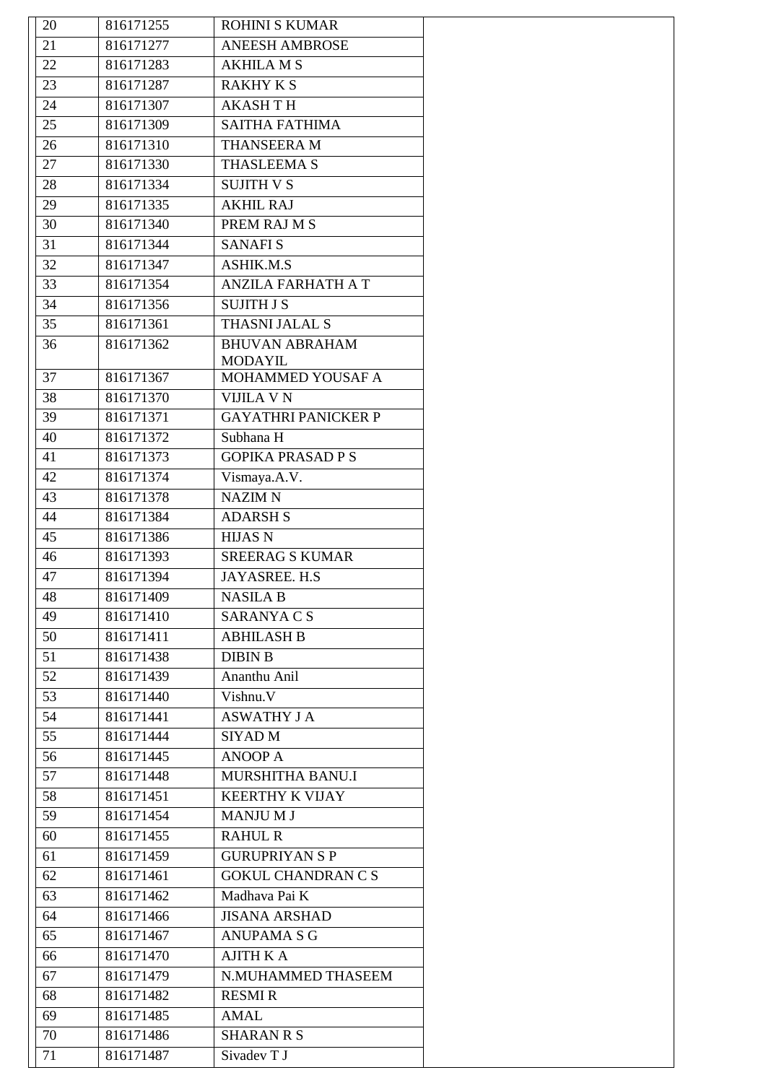| 20 | 816171255 | <b>ROHINI S KUMAR</b>      |
|----|-----------|----------------------------|
| 21 | 816171277 | <b>ANEESH AMBROSE</b>      |
| 22 | 816171283 | <b>AKHILA M S</b>          |
| 23 | 816171287 | <b>RAKHY K S</b>           |
| 24 | 816171307 | <b>AKASHTH</b>             |
| 25 | 816171309 | <b>SAITHA FATHIMA</b>      |
| 26 | 816171310 | THANSEERA M                |
| 27 | 816171330 | THASLEEMA S                |
| 28 | 816171334 | <b>SUJITH V S</b>          |
| 29 | 816171335 | <b>AKHIL RAJ</b>           |
| 30 | 816171340 | PREM RAJ M S               |
| 31 | 816171344 | <b>SANAFIS</b>             |
| 32 | 816171347 | <b>ASHIK.M.S</b>           |
| 33 | 816171354 | <b>ANZILA FARHATH A T</b>  |
| 34 | 816171356 | <b>SUJITH J S</b>          |
| 35 | 816171361 | THASNI JALAL S             |
| 36 | 816171362 | <b>BHUVAN ABRAHAM</b>      |
|    |           | <b>MODAYIL</b>             |
| 37 | 816171367 | MOHAMMED YOUSAF A          |
| 38 | 816171370 | <b>VIJILA V N</b>          |
| 39 | 816171371 | <b>GAYATHRI PANICKER P</b> |
| 40 | 816171372 | Subhana H                  |
| 41 | 816171373 | <b>GOPIKA PRASAD P S</b>   |
| 42 | 816171374 | Vismaya.A.V.               |
| 43 | 816171378 | <b>NAZIM N</b>             |
| 44 | 816171384 | <b>ADARSH S</b>            |
| 45 | 816171386 | <b>HIJAS N</b>             |
| 46 | 816171393 | <b>SREERAG S KUMAR</b>     |
| 47 | 816171394 | JAYASREE. H.S              |
| 48 | 816171409 | <b>NASILA B</b>            |
| 49 | 816171410 | SARANYA C S                |
| 50 | 816171411 | <b>ABHILASH B</b>          |
| 51 | 816171438 | <b>DIBIN B</b>             |
| 52 | 816171439 | Ananthu Anil               |
| 53 | 816171440 | Vishnu. V                  |
| 54 | 816171441 | <b>ASWATHY J A</b>         |
| 55 | 816171444 | <b>SIYAD M</b>             |
| 56 | 816171445 | <b>ANOOP A</b>             |
| 57 | 816171448 | MURSHITHA BANU.I           |
| 58 | 816171451 | <b>KEERTHY K VIJAY</b>     |
| 59 | 816171454 | <b>MANJUMJ</b>             |
| 60 | 816171455 | <b>RAHUL R</b>             |
| 61 | 816171459 | <b>GURUPRIYAN S P</b>      |
|    |           | <b>GOKUL CHANDRAN C S</b>  |
| 62 | 816171461 |                            |
| 63 | 816171462 | Madhava Pai K              |
| 64 | 816171466 | <b>JISANA ARSHAD</b>       |
| 65 | 816171467 | <b>ANUPAMA S G</b>         |
| 66 | 816171470 | <b>AJITH K A</b>           |
| 67 | 816171479 | N.MUHAMMED THASEEM         |
| 68 | 816171482 | <b>RESMI R</b>             |
| 69 | 816171485 | <b>AMAL</b>                |
| 70 | 816171486 | <b>SHARAN R S</b>          |
| 71 | 816171487 | Sivadev T J                |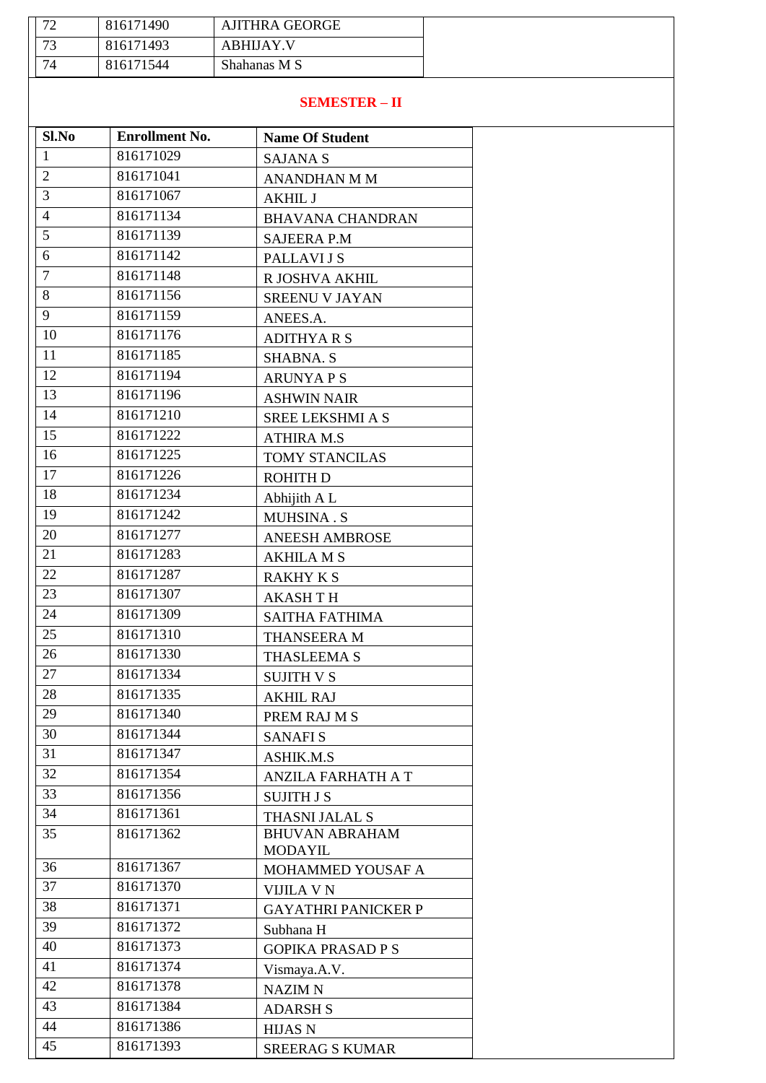| $\overline{\phantom{a}}$<br>∼ | 816171490 | <b>AJITHRA GEORGE</b> |
|-------------------------------|-----------|-----------------------|
| 73                            | 816171493 | <b>ABHIJAY V</b>      |
| 74                            | 816171544 | Shahanas M S          |

#### **SEMESTER – II**

| Sl.No          | <b>Enrollment No.</b> | <b>Name Of Student</b>     |
|----------------|-----------------------|----------------------------|
| $\mathbf{1}$   | 816171029             | <b>SAJANA S</b>            |
| $\overline{2}$ | 816171041             | <b>ANANDHAN M M</b>        |
| 3              | 816171067             | <b>AKHIL J</b>             |
| $\overline{4}$ | 816171134             | <b>BHAVANA CHANDRAN</b>    |
| 5              | 816171139             | <b>SAJEERA P.M</b>         |
| 6              | 816171142             | PALLAVI J S                |
| $\tau$         | 816171148             | R JOSHVA AKHIL             |
| 8              | 816171156             | <b>SREENU V JAYAN</b>      |
| 9              | 816171159             | ANEES.A.                   |
| 10             | 816171176             | <b>ADITHYARS</b>           |
| 11             | 816171185             | <b>SHABNA. S</b>           |
| 12             | 816171194             | <b>ARUNYAPS</b>            |
| 13             | 816171196             | <b>ASHWIN NAIR</b>         |
| 14             | 816171210             | SREE LEKSHMI A S           |
| 15             | 816171222             | <b>ATHIRA M.S</b>          |
| 16             | 816171225             | <b>TOMY STANCILAS</b>      |
| 17             | 816171226             | <b>ROHITH D</b>            |
| 18             | 816171234             | Abhijith A L               |
| 19             | 816171242             | <b>MUHSINA.S</b>           |
| 20             | 816171277             | <b>ANEESH AMBROSE</b>      |
| 21             | 816171283             | <b>AKHILA M S</b>          |
| 22             | 816171287             | <b>RAKHY K S</b>           |
| 23             | 816171307             | <b>AKASHTH</b>             |
| 24             | 816171309             | SAITHA FATHIMA             |
| 25             | 816171310             | THANSEERA M                |
| 26             | 816171330             | THASLEEMA S                |
| 27             | 816171334             | <b>SUJITH V S</b>          |
| 28             | 816171335             | <b>AKHIL RAJ</b>           |
| 29             | 816171340             | PREM RAJ M S               |
| 30             | 816171344             | <b>SANAFIS</b>             |
| 31             | 816171347             | ASHIK.M.S                  |
| 32             | 816171354             | <b>ANZILA FARHATH A T</b>  |
| 33             | 816171356             | <b>SUJITH J S</b>          |
| 34             | 816171361             | THASNI JALAL S             |
| 35             | 816171362             | <b>BHUVAN ABRAHAM</b>      |
|                |                       | <b>MODAYIL</b>             |
| 36             | 816171367             | MOHAMMED YOUSAF A          |
| 37             | 816171370             | VIJILA V N                 |
| 38             | 816171371             | <b>GAYATHRI PANICKER P</b> |
| 39             | 816171372             | Subhana H                  |
| 40             | 816171373             | <b>GOPIKA PRASAD P S</b>   |
| 41             | 816171374             | Vismaya.A.V.               |
| 42             | 816171378             | <b>NAZIM N</b>             |
| 43             | 816171384             | <b>ADARSH S</b>            |
| 44             | 816171386             | <b>HIJAS N</b>             |
| 45             | 816171393             | <b>SREERAG S KUMAR</b>     |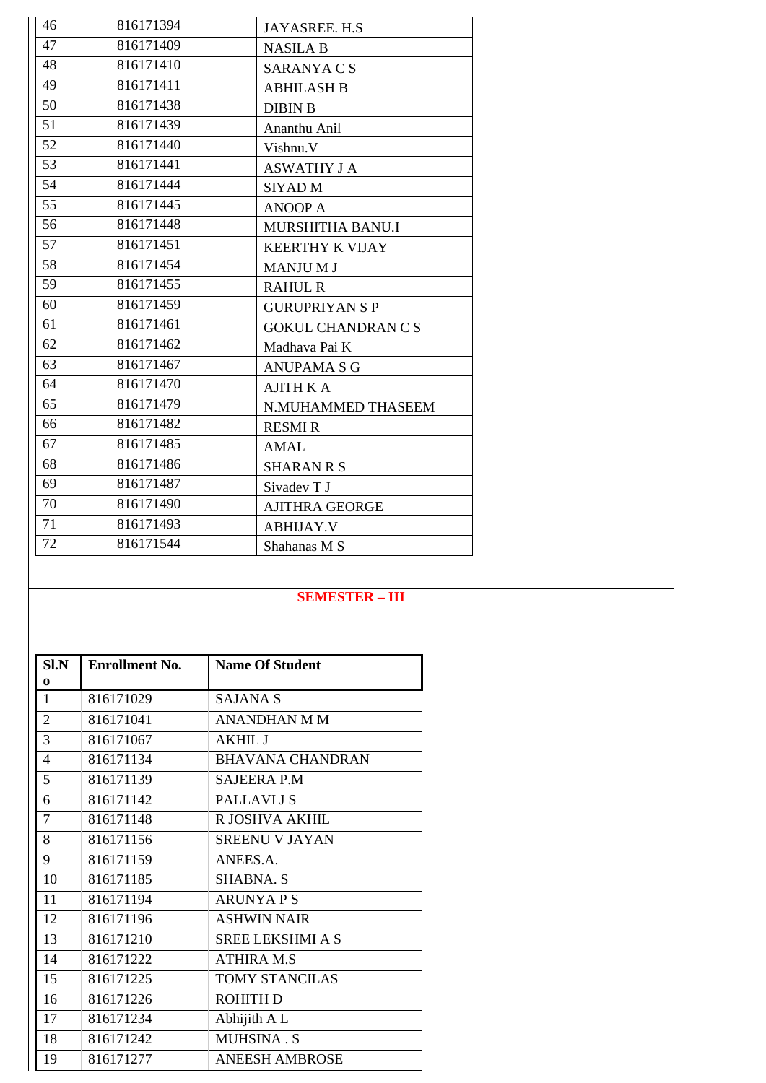| 46 | 816171394 | JAYASREE. H.S.            |
|----|-----------|---------------------------|
| 47 | 816171409 | <b>NASILA B</b>           |
| 48 | 816171410 | SARANYA C S               |
| 49 | 816171411 | <b>ABHILASH B</b>         |
| 50 | 816171438 | <b>DIBIN B</b>            |
| 51 | 816171439 | Ananthu Anil              |
| 52 | 816171440 | Vishnu.V                  |
| 53 | 816171441 | <b>ASWATHY J A</b>        |
| 54 | 816171444 | SIYAD M                   |
| 55 | 816171445 | <b>ANOOP A</b>            |
| 56 | 816171448 | MURSHITHA BANU.I          |
| 57 | 816171451 | <b>KEERTHY K VIJAY</b>    |
| 58 | 816171454 | <b>MANJUMJ</b>            |
| 59 | 816171455 | <b>RAHUL R</b>            |
| 60 | 816171459 | <b>GURUPRIYAN S P</b>     |
| 61 | 816171461 | <b>GOKUL CHANDRAN C S</b> |
| 62 | 816171462 | Madhava Pai K             |
| 63 | 816171467 | <b>ANUPAMA S G</b>        |
| 64 | 816171470 | <b>AJITH K A</b>          |
| 65 | 816171479 | N.MUHAMMED THASEEM        |
| 66 | 816171482 | <b>RESMI R</b>            |
| 67 | 816171485 | <b>AMAL</b>               |
| 68 | 816171486 | <b>SHARAN R S</b>         |
| 69 | 816171487 | Sivadev T J               |
| 70 | 816171490 | <b>AJITHRA GEORGE</b>     |
| 71 | 816171493 | <b>ABHIJAY.V</b>          |
| 72 | 816171544 | Shahanas M S              |

#### **SEMESTER – III**

| S <sub>1</sub> N | <b>Enrollment No.</b> | <b>Name Of Student</b>  |
|------------------|-----------------------|-------------------------|
| $\bf{0}$         |                       |                         |
| 1                | 816171029             | <b>SAJANA S</b>         |
| $\overline{2}$   | 816171041             | <b>ANANDHAN M M</b>     |
| 3                | 816171067             | <b>AKHIL J</b>          |
| 4                | 816171134             | <b>BHAVANA CHANDRAN</b> |
| 5                | 816171139             | <b>SAJEERA P.M</b>      |
| 6                | 816171142             | PALLAVI J S             |
| $\tau$           | 816171148             | R JOSHVA AKHIL          |
| 8                | 816171156             | <b>SREENU V JAYAN</b>   |
| 9                | 816171159             | ANEES.A.                |
| 10               | 816171185             | <b>SHABNA. S</b>        |
| 11               | 816171194             | <b>ARUNYAPS</b>         |
| 12               | 816171196             | <b>ASHWIN NAIR</b>      |
| 13               | 816171210             | SREE LEKSHMI A S        |
| 14               | 816171222             | <b>ATHIRA M.S</b>       |
| 15               | 816171225             | <b>TOMY STANCILAS</b>   |
| 16               | 816171226             | <b>ROHITH D</b>         |
| 17               | 816171234             | Abhijith A L            |
| 18               | 816171242             | <b>MUHSINA.S</b>        |
| 19               | 816171277             | <b>ANEESH AMBROSE</b>   |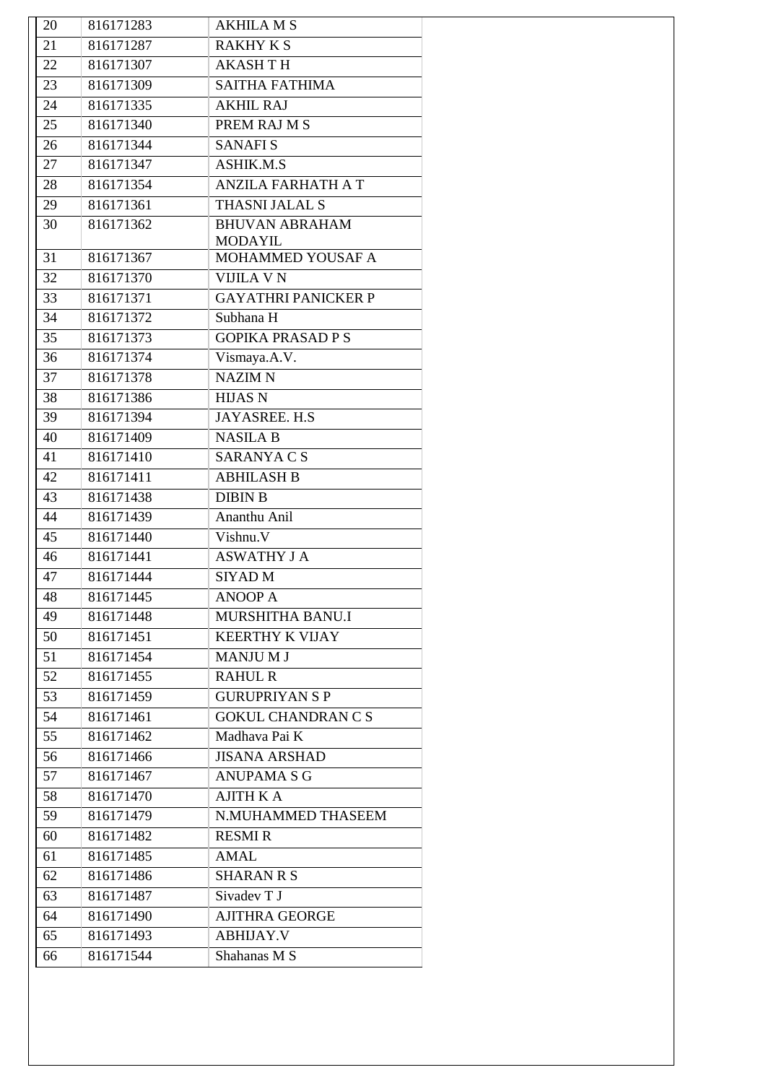| 20       | 816171283              | <b>AKHILA M S</b>                          |
|----------|------------------------|--------------------------------------------|
| 21       | 816171287              | <b>RAKHY K S</b>                           |
| 22       | 816171307              | <b>AKASH T H</b>                           |
| 23       | 816171309              | <b>SAITHA FATHIMA</b>                      |
| 24       | 816171335              | <b>AKHIL RAJ</b>                           |
| 25       | 816171340              | PREM RAJ M S                               |
| 26       | 816171344              | <b>SANAFIS</b>                             |
| 27       | 816171347              | <b>ASHIK.M.S</b>                           |
| 28       | 816171354              | <b>ANZILA FARHATH A T</b>                  |
| 29       | 816171361              | THASNI JALAL S                             |
| 30       | 816171362              | <b>BHUVAN ABRAHAM</b>                      |
|          |                        | <b>MODAYIL</b>                             |
| 31       | 816171367              | MOHAMMED YOUSAF A                          |
| 32       | 816171370              | <b>VIJILA V N</b>                          |
| 33       | 816171371              | <b>GAYATHRI PANICKER P</b>                 |
| 34       | 816171372              | Subhana H                                  |
| 35       | 816171373              | <b>GOPIKA PRASAD P S</b>                   |
| 36       | 816171374              | Vismaya.A.V.                               |
| 37       | 816171378              | <b>NAZIM N</b>                             |
| 38       | 816171386              | <b>HIJAS N</b>                             |
| 39       | 816171394              | JAYASREE. H.S                              |
| 40       | 816171409              | <b>NASILA B</b>                            |
| 41       | 816171410              | SARANYA C S                                |
| 42       | 816171411              | <b>ABHILASH B</b>                          |
| 43       | 816171438              | <b>DIBIN B</b>                             |
| 44       | 816171439              | Ananthu Anil                               |
| 45       | 816171440              | Vishnu.V                                   |
| 46<br>47 | 816171441<br>816171444 | <b>ASWATHY J A</b>                         |
|          | 816171445              | <b>SIYAD</b> M                             |
| 48       | 816171448              | <b>ANOOP A</b><br>MURSHITHA BANU.I         |
| 49       | 816171451              | <b>KEERTHY K VIJAY</b>                     |
| 50       | 816171454              |                                            |
| 51       |                        | <b>MANJUMJ</b>                             |
| 52<br>53 | 816171455<br>816171459 | <b>RAHUL R</b><br><b>GURUPRIYAN S P</b>    |
|          |                        |                                            |
| 54<br>55 | 816171461<br>816171462 | <b>GOKUL CHANDRAN C S</b><br>Madhava Pai K |
| 56       | 816171466              | <b>JISANA ARSHAD</b>                       |
| 57       |                        | <b>ANUPAMA S G</b>                         |
| 58       | 816171467<br>816171470 | <b>AJITH K A</b>                           |
| 59       | 816171479              | N.MUHAMMED THASEEM                         |
| 60       | 816171482              | <b>RESMI R</b>                             |
| 61       | 816171485              | <b>AMAL</b>                                |
| 62       | 816171486              | <b>SHARAN R S</b>                          |
| 63       | 816171487              | Sivadev T J                                |
| 64       | 816171490              | <b>AJITHRA GEORGE</b>                      |
| 65       | 816171493              | <b>ABHIJAY.V</b>                           |
|          |                        |                                            |
| 66       | 816171544              | Shahanas M S                               |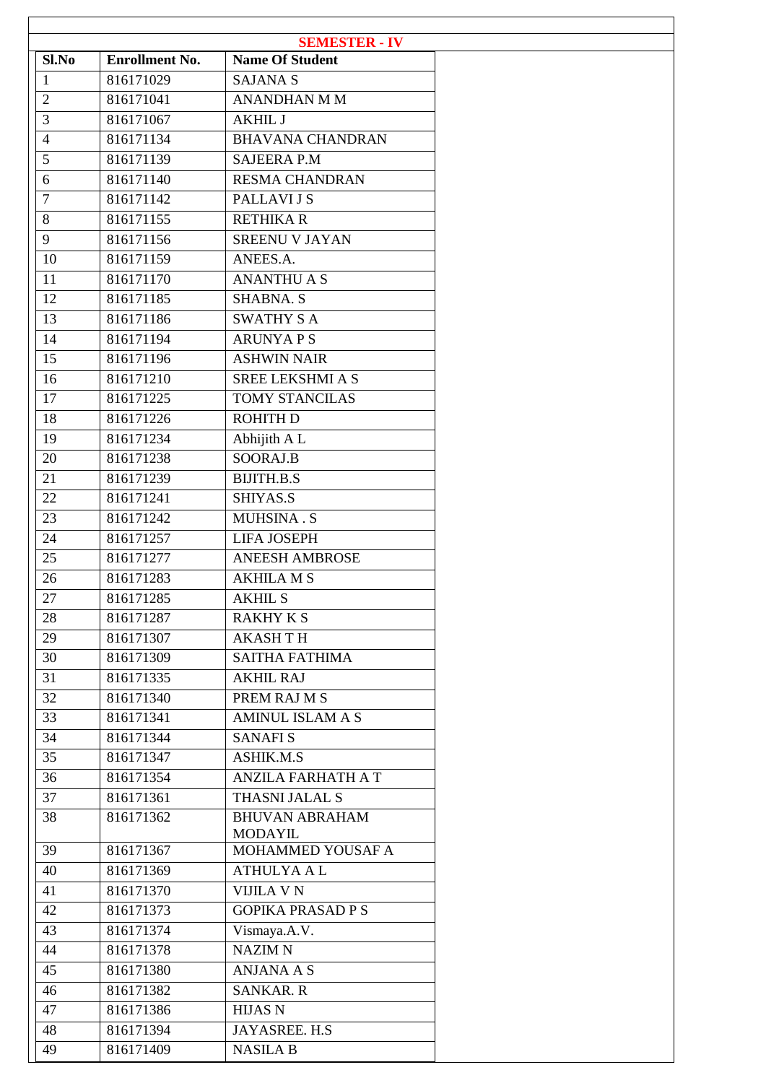|                |                       | <b>SEMESTER - IV</b>                |
|----------------|-----------------------|-------------------------------------|
| Sl.No          | <b>Enrollment No.</b> | <b>Name Of Student</b>              |
| $\mathbf{1}$   | 816171029             | <b>SAJANA S</b>                     |
| $\overline{2}$ | 816171041             | <b>ANANDHAN M M</b>                 |
| $\overline{3}$ | 816171067             | <b>AKHIL J</b>                      |
| $\overline{4}$ | 816171134             | <b>BHAVANA CHANDRAN</b>             |
| $\overline{5}$ | 816171139             | <b>SAJEERA P.M</b>                  |
| 6              | 816171140             | <b>RESMA CHANDRAN</b>               |
| $\overline{7}$ | 816171142             | PALLAVI J S                         |
| 8              | 816171155             | <b>RETHIKAR</b>                     |
| 9              | 816171156             | SREENU V JAYAN                      |
| 10             | 816171159             | ANEES.A.                            |
| 11             | 816171170             | <b>ANANTHU A S</b>                  |
| 12             | 816171185             | <b>SHABNA. S</b>                    |
| 13             | 816171186             | <b>SWATHY S A</b>                   |
| 14             | 816171194             | <b>ARUNYAPS</b>                     |
| 15             | 816171196             | <b>ASHWIN NAIR</b>                  |
| 16             | 816171210             | <b>SREE LEKSHMI A S</b>             |
| 17             | 816171225             | <b>TOMY STANCILAS</b>               |
| 18             | 816171226             | <b>ROHITH D</b>                     |
| 19             | 816171234             | Abhijith A L                        |
| 20             | 816171238             | SOORAJ.B                            |
| 21             | 816171239             | <b>BIJITH.B.S</b>                   |
| 22             | 816171241             | SHIYAS.S                            |
| 23             | 816171242             | MUHSINA.S                           |
| 24             | 816171257             | <b>LIFA JOSEPH</b>                  |
| 25             | 816171277             | <b>ANEESH AMBROSE</b>               |
| 26             | 816171283             | AKHILA M S                          |
| 27             | 816171285             | <b>AKHIL S</b>                      |
| 28             | 816171287             | <b>RAKHY K S</b>                    |
| 29             | 816171307             | <b>AKASH TH</b>                     |
| 30             | 816171309             | <b>SAITHA FATHIMA</b>               |
| 31             | 816171335             | <b>AKHIL RAJ</b>                    |
|                | 816171340             | PREM RAJ M S                        |
| 32             |                       |                                     |
| 33             | 816171341             | <b>AMINUL ISLAM A S</b>             |
| 34             | 816171344             | <b>SANAFIS</b>                      |
| 35             | 816171347             | <b>ASHIK.M.S</b>                    |
| 36             | 816171354             | <b>ANZILA FARHATH A T</b>           |
| 37             | 816171361             | THASNI JALAL S                      |
| 38             | 816171362             | <b>BHUVAN ABRAHAM</b>               |
| 39             | 816171367             | <b>MODAYIL</b><br>MOHAMMED YOUSAF A |
| 40             | 816171369             | <b>ATHULYA A L</b>                  |
|                |                       |                                     |
| 41             | 816171370             | <b>VIJILA V N</b>                   |
| 42             | 816171373             | <b>GOPIKA PRASAD P S</b>            |
| 43             | 816171374             | Vismaya.A.V.                        |
| 44             | 816171378             | <b>NAZIM N</b>                      |
| 45             | 816171380             | <b>ANJANA A S</b>                   |
| 46             | 816171382             | <b>SANKAR. R</b>                    |
| 47             | 816171386             | <b>HIJAS N</b>                      |
| 48             | 816171394             | JAYASREE. H.S                       |
| 49             | 816171409             | <b>NASILA B</b>                     |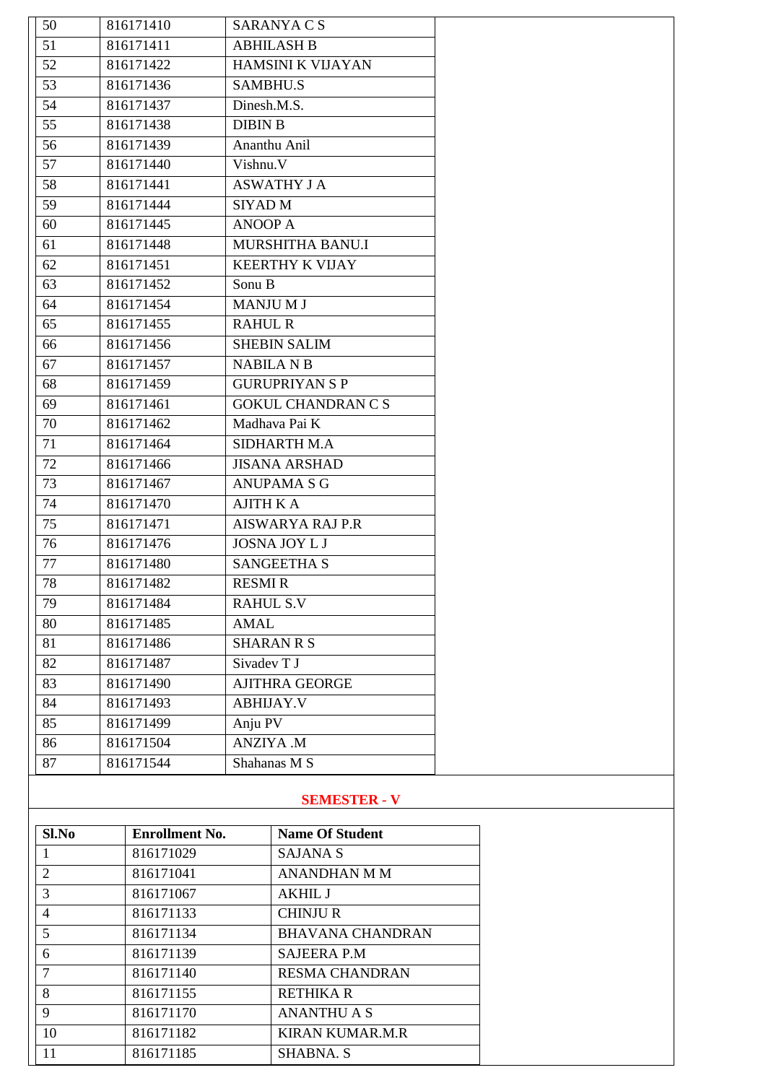| 50 | 816171410 | SARANYA C S               |  |
|----|-----------|---------------------------|--|
| 51 | 816171411 | <b>ABHILASH B</b>         |  |
| 52 | 816171422 | HAMSINI K VIJAYAN         |  |
| 53 | 816171436 | <b>SAMBHU.S</b>           |  |
| 54 | 816171437 | Dinesh.M.S.               |  |
| 55 | 816171438 | <b>DIBIN B</b>            |  |
| 56 | 816171439 | Ananthu Anil              |  |
| 57 | 816171440 | Vishnu.V                  |  |
| 58 | 816171441 | <b>ASWATHY J A</b>        |  |
| 59 | 816171444 | SIYAD M                   |  |
| 60 | 816171445 | <b>ANOOP A</b>            |  |
| 61 | 816171448 | MURSHITHA BANU.I          |  |
| 62 | 816171451 | <b>KEERTHY K VIJAY</b>    |  |
| 63 | 816171452 | Sonu B                    |  |
| 64 | 816171454 | <b>MANJUMJ</b>            |  |
| 65 | 816171455 | <b>RAHUL R</b>            |  |
| 66 | 816171456 | <b>SHEBIN SALIM</b>       |  |
| 67 | 816171457 | <b>NABILA N B</b>         |  |
| 68 | 816171459 | <b>GURUPRIYAN S P</b>     |  |
| 69 | 816171461 | <b>GOKUL CHANDRAN C S</b> |  |
| 70 | 816171462 | Madhava Pai K             |  |
| 71 | 816171464 | SIDHARTH M.A              |  |
| 72 | 816171466 | <b>JISANA ARSHAD</b>      |  |
| 73 | 816171467 | <b>ANUPAMA S G</b>        |  |
| 74 | 816171470 | <b>AJITH K A</b>          |  |
| 75 | 816171471 | <b>AISWARYA RAJ P.R</b>   |  |
| 76 | 816171476 | <b>JOSNA JOY L J</b>      |  |
| 77 | 816171480 | <b>SANGEETHA S</b>        |  |
| 78 | 816171482 | <b>RESMIR</b>             |  |
| 79 | 816171484 | <b>RAHUL S.V</b>          |  |
| 80 | 816171485 | <b>AMAL</b>               |  |
| 81 | 816171486 | <b>SHARAN R S</b>         |  |
| 82 | 816171487 | Sivadev T J               |  |
| 83 | 816171490 | <b>AJITHRA GEORGE</b>     |  |
| 84 | 816171493 | <b>ABHIJAY.V</b>          |  |
| 85 | 816171499 | Anju PV                   |  |
| 86 | 816171504 | <b>ANZIYA .M</b>          |  |
| 87 | 816171544 | Shahanas M S              |  |
|    |           |                           |  |

## **SEMESTER - V**

| Sl.No                    | <b>Enrollment No.</b> | <b>Name Of Student</b>  |
|--------------------------|-----------------------|-------------------------|
| 1                        | 816171029             | <b>SAJANA S</b>         |
| 2                        | 816171041             | <b>ANANDHAN M M</b>     |
| 3                        | 816171067             | <b>AKHIL J</b>          |
| $\overline{\mathcal{A}}$ | 816171133             | <b>CHINJUR</b>          |
| 5                        | 816171134             | <b>BHAVANA CHANDRAN</b> |
| 6                        | 816171139             | <b>SAJEERA P.M</b>      |
| 7                        | 816171140             | <b>RESMA CHANDRAN</b>   |
| 8                        | 816171155             | <b>RETHIKA R</b>        |
| 9                        | 816171170             | <b>ANANTHU A S</b>      |
| 10                       | 816171182             | <b>KIRAN KUMAR.M.R</b>  |
| 11                       | 816171185             | SHABNA. S               |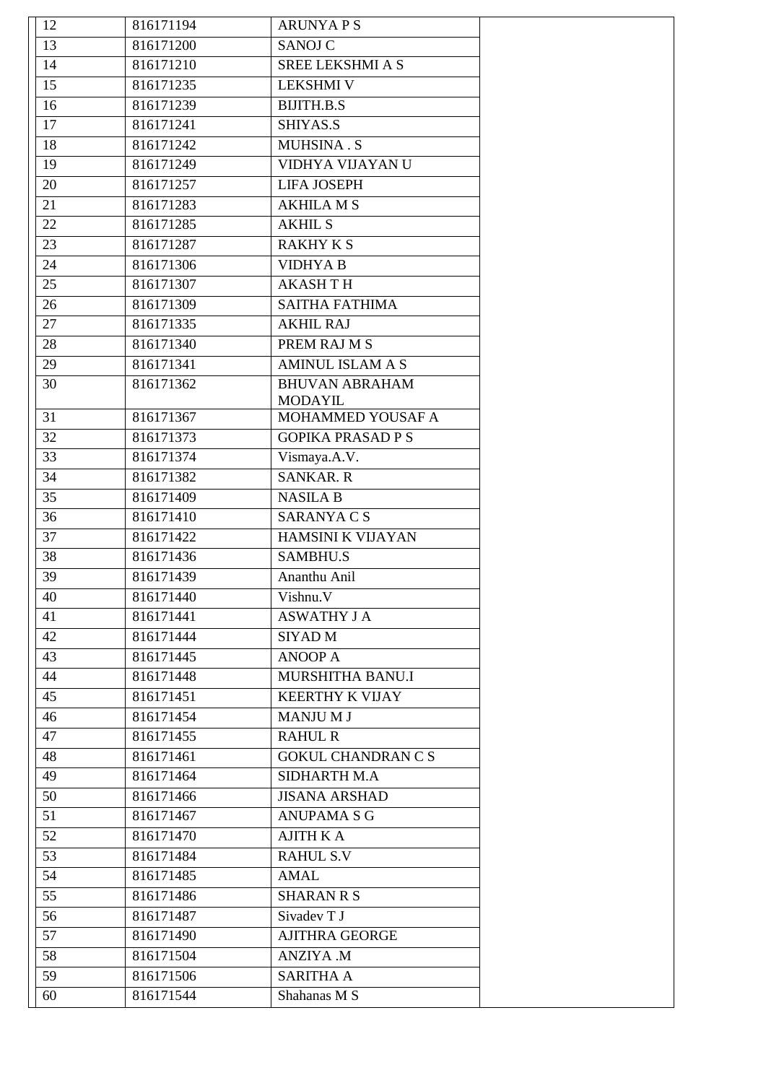| 12 | 816171194 | <b>ARUNYAPS</b>           |  |
|----|-----------|---------------------------|--|
| 13 | 816171200 | <b>SANOJ C</b>            |  |
| 14 | 816171210 | <b>SREE LEKSHMI A S</b>   |  |
| 15 | 816171235 | <b>LEKSHMI V</b>          |  |
| 16 | 816171239 | <b>BIJITH.B.S</b>         |  |
| 17 | 816171241 | SHIYAS.S                  |  |
| 18 | 816171242 | MUHSINA.S                 |  |
| 19 | 816171249 | VIDHYA VIJAYAN U          |  |
| 20 | 816171257 | <b>LIFA JOSEPH</b>        |  |
| 21 | 816171283 | <b>AKHILA M S</b>         |  |
| 22 | 816171285 | <b>AKHIL S</b>            |  |
| 23 | 816171287 | <b>RAKHY K S</b>          |  |
| 24 | 816171306 | <b>VIDHYA B</b>           |  |
| 25 | 816171307 | <b>AKASHTH</b>            |  |
| 26 | 816171309 | SAITHA FATHIMA            |  |
| 27 | 816171335 | <b>AKHIL RAJ</b>          |  |
| 28 | 816171340 | PREM RAJ M S              |  |
| 29 | 816171341 | AMINUL ISLAM A S          |  |
| 30 | 816171362 | <b>BHUVAN ABRAHAM</b>     |  |
|    |           | <b>MODAYIL</b>            |  |
| 31 | 816171367 | MOHAMMED YOUSAF A         |  |
| 32 | 816171373 | <b>GOPIKA PRASAD P S</b>  |  |
| 33 | 816171374 | Vismaya.A.V.              |  |
| 34 | 816171382 | <b>SANKAR. R</b>          |  |
| 35 | 816171409 | <b>NASILA B</b>           |  |
| 36 | 816171410 | <b>SARANYACS</b>          |  |
| 37 | 816171422 | HAMSINI K VIJAYAN         |  |
| 38 | 816171436 | <b>SAMBHU.S</b>           |  |
| 39 | 816171439 | Ananthu Anil              |  |
| 40 | 816171440 | Vishnu.V                  |  |
| 41 | 816171441 | <b>ASWATHY J A</b>        |  |
| 42 | 816171444 | SIYAD M                   |  |
| 43 | 816171445 | <b>ANOOP A</b>            |  |
| 44 | 816171448 | MURSHITHA BANU.I          |  |
| 45 | 816171451 | <b>KEERTHY K VIJAY</b>    |  |
| 46 | 816171454 | <b>MANJUMJ</b>            |  |
| 47 | 816171455 | <b>RAHUL R</b>            |  |
| 48 | 816171461 | <b>GOKUL CHANDRAN C S</b> |  |
| 49 | 816171464 | <b>SIDHARTH M.A</b>       |  |
| 50 | 816171466 | <b>JISANA ARSHAD</b>      |  |
| 51 | 816171467 | <b>ANUPAMA S G</b>        |  |
| 52 | 816171470 | <b>AJITH K A</b>          |  |
| 53 | 816171484 | <b>RAHUL S.V</b>          |  |
| 54 | 816171485 | <b>AMAL</b>               |  |
| 55 | 816171486 | <b>SHARAN R S</b>         |  |
|    |           | Sivadev T J               |  |
| 56 | 816171487 |                           |  |
| 57 | 816171490 | <b>AJITHRA GEORGE</b>     |  |
| 58 | 816171504 | <b>ANZIYA</b> .M          |  |
| 59 | 816171506 | <b>SARITHA A</b>          |  |
| 60 | 816171544 | Shahanas M S              |  |